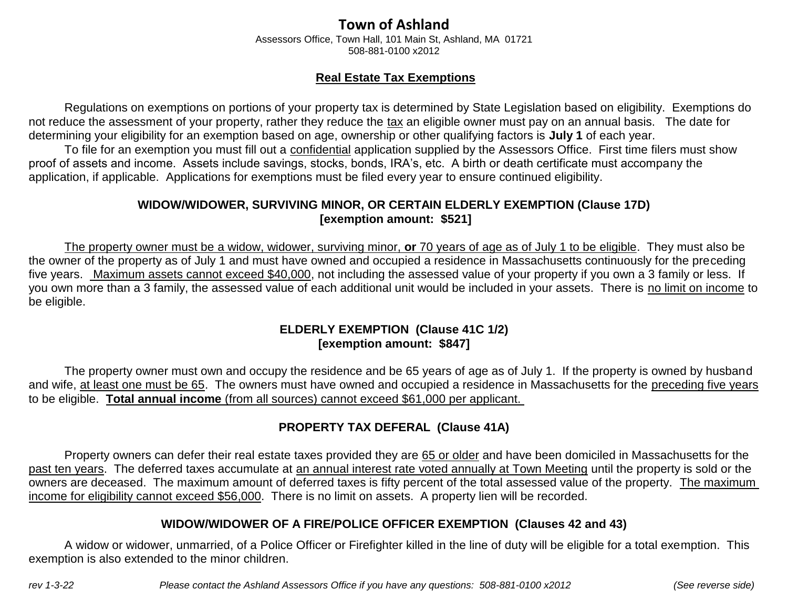# **Town of Ashland**

Assessors Office, Town Hall, 101 Main St, Ashland, MA 01721 508-881-0100 x2012

#### **Real Estate Tax Exemptions**

Regulations on exemptions on portions of your property tax is determined by State Legislation based on eligibility. Exemptions do not reduce the assessment of your property, rather they reduce the tax an eligible owner must pay on an annual basis. The date for determining your eligibility for an exemption based on age, ownership or other qualifying factors is **July 1** of each year.

To file for an exemption you must fill out a confidential application supplied by the Assessors Office. First time filers must show proof of assets and income. Assets include savings, stocks, bonds, IRA's, etc. A birth or death certificate must accompany the application, if applicable. Applications for exemptions must be filed every year to ensure continued eligibility.

#### **WIDOW/WIDOWER, SURVIVING MINOR, OR CERTAIN ELDERLY EXEMPTION (Clause 17D) [exemption amount: \$521]**

The property owner must be a widow, widower, surviving minor, **or** 70 years of age as of July 1 to be eligible. They must also be the owner of the property as of July 1 and must have owned and occupied a residence in Massachusetts continuously for the preceding five years. Maximum assets cannot exceed \$40,000, not including the assessed value of your property if you own a 3 family or less. If you own more than a 3 family, the assessed value of each additional unit would be included in your assets. There is no limit on income to be eligible.

#### **ELDERLY EXEMPTION (Clause 41C 1/2) [exemption amount: \$847]**

The property owner must own and occupy the residence and be 65 years of age as of July 1. If the property is owned by husband and wife, at least one must be 65. The owners must have owned and occupied a residence in Massachusetts for the preceding five years to be eligible. **Total annual income** (from all sources) cannot exceed \$61,000 per applicant.

## **PROPERTY TAX DEFERAL (Clause 41A)**

Property owners can defer their real estate taxes provided they are 65 or older and have been domiciled in Massachusetts for the past ten years. The deferred taxes accumulate at an annual interest rate voted annually at Town Meeting until the property is sold or the owners are deceased. The maximum amount of deferred taxes is fifty percent of the total assessed value of the property. The maximum income for eligibility cannot exceed \$56,000. There is no limit on assets. A property lien will be recorded.

#### **WIDOW/WIDOWER OF A FIRE/POLICE OFFICER EXEMPTION (Clauses 42 and 43)**

A widow or widower, unmarried, of a Police Officer or Firefighter killed in the line of duty will be eligible for a total exemption. This exemption is also extended to the minor children.